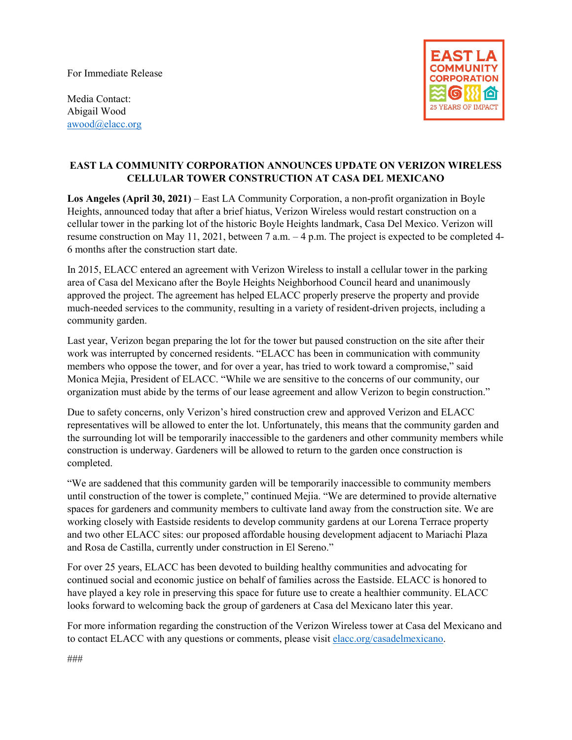For Immediate Release



Media Contact: Abigail Wood [awood@elacc.org](mailto:awood@elacc.org)

## **EAST LA COMMUNITY CORPORATION ANNOUNCES UPDATE ON VERIZON WIRELESS CELLULAR TOWER CONSTRUCTION AT CASA DEL MEXICANO**

**Los Angeles (April 30, 2021)** – East LA Community Corporation, a non-profit organization in Boyle Heights, announced today that after a brief hiatus, Verizon Wireless would restart construction on a cellular tower in the parking lot of the historic Boyle Heights landmark, Casa Del Mexico. Verizon will resume construction on May 11, 2021, between 7 a.m. – 4 p.m. The project is expected to be completed 4- 6 months after the construction start date.

In 2015, ELACC entered an agreement with Verizon Wireless to install a cellular tower in the parking area of Casa del Mexicano after the Boyle Heights Neighborhood Council heard and unanimously approved the project. The agreement has helped ELACC properly preserve the property and provide much-needed services to the community, resulting in a variety of resident-driven projects, including a community garden.

Last year, Verizon began preparing the lot for the tower but paused construction on the site after their work was interrupted by concerned residents. "ELACC has been in communication with community members who oppose the tower, and for over a year, has tried to work toward a compromise," said Monica Mejia, President of ELACC. "While we are sensitive to the concerns of our community, our organization must abide by the terms of our lease agreement and allow Verizon to begin construction."

Due to safety concerns, only Verizon's hired construction crew and approved Verizon and ELACC representatives will be allowed to enter the lot. Unfortunately, this means that the community garden and the surrounding lot will be temporarily inaccessible to the gardeners and other community members while construction is underway. Gardeners will be allowed to return to the garden once construction is completed.

"We are saddened that this community garden will be temporarily inaccessible to community members until construction of the tower is complete," continued Mejia. "We are determined to provide alternative spaces for gardeners and community members to cultivate land away from the construction site. We are working closely with Eastside residents to develop community gardens at our Lorena Terrace property and two other ELACC sites: our proposed affordable housing development adjacent to Mariachi Plaza and Rosa de Castilla, currently under construction in El Sereno."

For over 25 years, ELACC has been devoted to building healthy communities and advocating for continued social and economic justice on behalf of families across the Eastside. ELACC is honored to have played a key role in preserving this space for future use to create a healthier community. ELACC looks forward to welcoming back the group of gardeners at Casa del Mexicano later this year.

For more information regarding the construction of the Verizon Wireless tower at Casa del Mexicano and to contact ELACC with any questions or comments, please visit [elacc.org/casadelmexicano.](https://www.elacc.org/verizon-tower-at-casa-del-mexicano/)